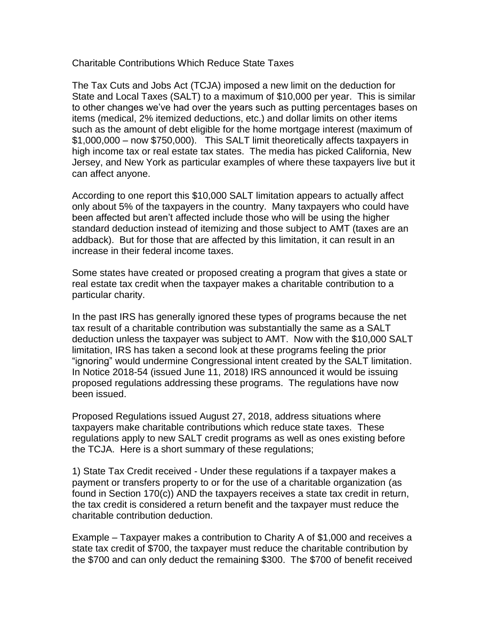Charitable Contributions Which Reduce State Taxes

The Tax Cuts and Jobs Act (TCJA) imposed a new limit on the deduction for State and Local Taxes (SALT) to a maximum of \$10,000 per year. This is similar to other changes we've had over the years such as putting percentages bases on items (medical, 2% itemized deductions, etc.) and dollar limits on other items such as the amount of debt eligible for the home mortgage interest (maximum of \$1,000,000 – now \$750,000). This SALT limit theoretically affects taxpayers in high income tax or real estate tax states. The media has picked California, New Jersey, and New York as particular examples of where these taxpayers live but it can affect anyone.

According to one report this \$10,000 SALT limitation appears to actually affect only about 5% of the taxpayers in the country. Many taxpayers who could have been affected but aren't affected include those who will be using the higher standard deduction instead of itemizing and those subject to AMT (taxes are an addback). But for those that are affected by this limitation, it can result in an increase in their federal income taxes.

Some states have created or proposed creating a program that gives a state or real estate tax credit when the taxpayer makes a charitable contribution to a particular charity.

In the past IRS has generally ignored these types of programs because the net tax result of a charitable contribution was substantially the same as a SALT deduction unless the taxpayer was subject to AMT. Now with the \$10,000 SALT limitation, IRS has taken a second look at these programs feeling the prior "ignoring" would undermine Congressional intent created by the SALT limitation. In Notice 2018-54 (issued June 11, 2018) IRS announced it would be issuing proposed regulations addressing these programs. The regulations have now been issued.

Proposed Regulations issued August 27, 2018, address situations where taxpayers make charitable contributions which reduce state taxes. These regulations apply to new SALT credit programs as well as ones existing before the TCJA. Here is a short summary of these regulations;

1) State Tax Credit received - Under these regulations if a taxpayer makes a payment or transfers property to or for the use of a charitable organization (as found in Section 170(c)) AND the taxpayers receives a state tax credit in return, the tax credit is considered a return benefit and the taxpayer must reduce the charitable contribution deduction.

Example – Taxpayer makes a contribution to Charity A of \$1,000 and receives a state tax credit of \$700, the taxpayer must reduce the charitable contribution by the \$700 and can only deduct the remaining \$300. The \$700 of benefit received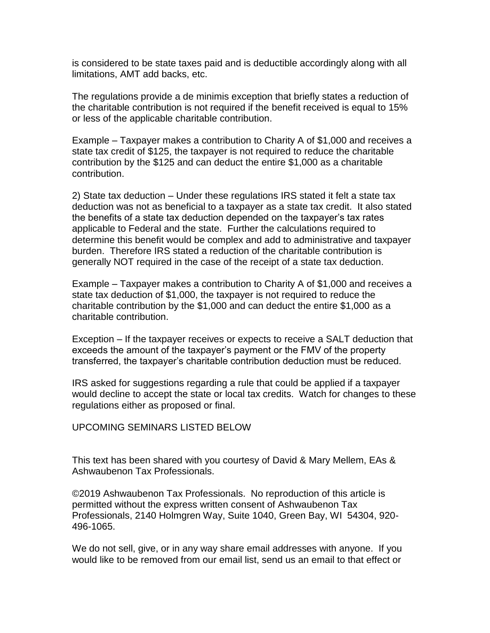is considered to be state taxes paid and is deductible accordingly along with all limitations, AMT add backs, etc.

The regulations provide a de minimis exception that briefly states a reduction of the charitable contribution is not required if the benefit received is equal to 15% or less of the applicable charitable contribution.

Example – Taxpayer makes a contribution to Charity A of \$1,000 and receives a state tax credit of \$125, the taxpayer is not required to reduce the charitable contribution by the \$125 and can deduct the entire \$1,000 as a charitable contribution.

2) State tax deduction – Under these regulations IRS stated it felt a state tax deduction was not as beneficial to a taxpayer as a state tax credit. It also stated the benefits of a state tax deduction depended on the taxpayer's tax rates applicable to Federal and the state. Further the calculations required to determine this benefit would be complex and add to administrative and taxpayer burden. Therefore IRS stated a reduction of the charitable contribution is generally NOT required in the case of the receipt of a state tax deduction.

Example – Taxpayer makes a contribution to Charity A of \$1,000 and receives a state tax deduction of \$1,000, the taxpayer is not required to reduce the charitable contribution by the \$1,000 and can deduct the entire \$1,000 as a charitable contribution.

Exception – If the taxpayer receives or expects to receive a SALT deduction that exceeds the amount of the taxpayer's payment or the FMV of the property transferred, the taxpayer's charitable contribution deduction must be reduced.

IRS asked for suggestions regarding a rule that could be applied if a taxpayer would decline to accept the state or local tax credits. Watch for changes to these regulations either as proposed or final.

UPCOMING SEMINARS LISTED BELOW

This text has been shared with you courtesy of David & Mary Mellem, EAs & Ashwaubenon Tax Professionals.

©2019 Ashwaubenon Tax Professionals. No reproduction of this article is permitted without the express written consent of Ashwaubenon Tax Professionals, 2140 Holmgren Way, Suite 1040, Green Bay, WI 54304, 920- 496-1065.

We do not sell, give, or in any way share email addresses with anyone. If you would like to be removed from our email list, send us an email to that effect or